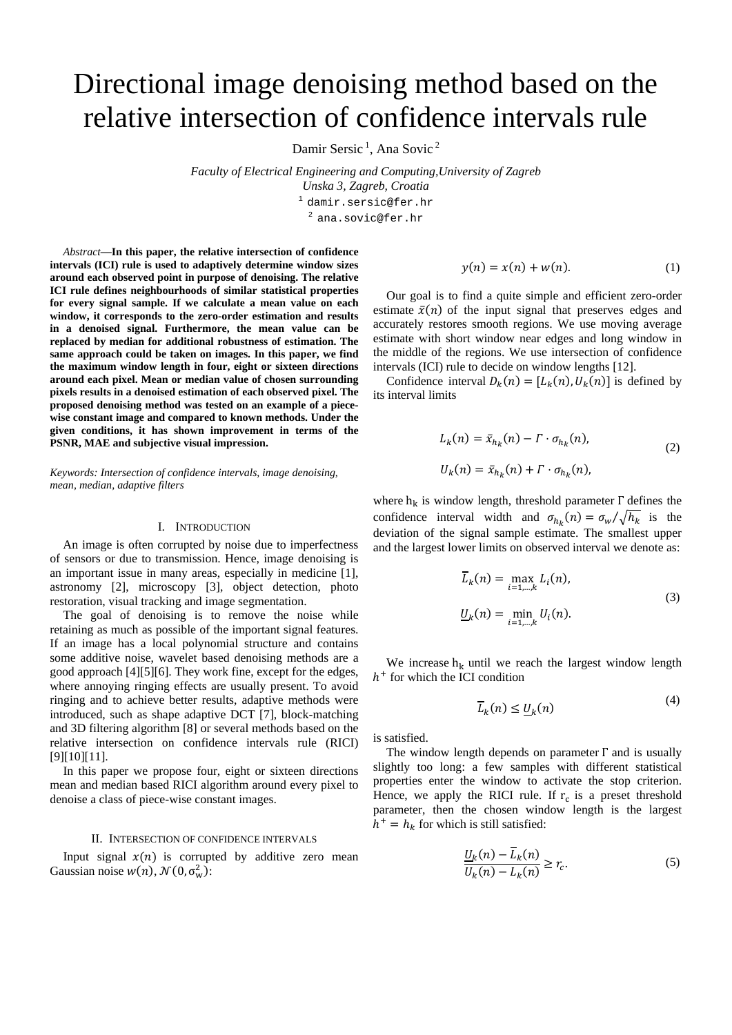# Directional image denoising method based on the relative intersection of confidence intervals rule

Damir Sersic<sup>1</sup>, Ana Sovic<sup>2</sup>

*Faculty of Electrical Engineering and Computing,University of Zagreb Unska 3, Zagreb, Croatia* 1 damir.sersic@fer.hr <sup>2</sup> ana.sovic@fer.hr

*Abstract***—In this paper, the relative intersection of confidence intervals (ICI) rule is used to adaptively determine window sizes around each observed point in purpose of denoising. The relative ICI rule defines neighbourhoods of similar statistical properties for every signal sample. If we calculate a mean value on each window, it corresponds to the zero-order estimation and results in a denoised signal. Furthermore, the mean value can be replaced by median for additional robustness of estimation. The same approach could be taken on images. In this paper, we find the maximum window length in four, eight or sixteen directions around each pixel. Mean or median value of chosen surrounding pixels results in a denoised estimation of each observed pixel. The proposed denoising method was tested on an example of a piecewise constant image and compared to known methods. Under the given conditions, it has shown improvement in terms of the PSNR, MAE and subjective visual impression.**

*Keywords: Intersection of confidence intervals, image denoising, mean, median, adaptive filters*

#### I. INTRODUCTION

An image is often corrupted by noise due to imperfectness of sensors or due to transmission. Hence, image denoising is an important issue in many areas, especially in medicine [\[1\],](#page-4-0) astronomy [\[2\],](#page-4-1) microscopy [\[3\],](#page-4-2) object detection, photo restoration, visual tracking and image segmentation.

The goal of denoising is to remove the noise while retaining as much as possible of the important signal features. If an image has a local polynomial structure and contains some additive noise, wavelet based denoising methods are a good approach [\[4\]\[5\]](#page-4-3)[\[6\].](#page-4-4) They work fine, except for the edges, where annoying ringing effects are usually present. To avoid ringing and to achieve better results, adaptive methods were introduced, such as shape adaptive DCT [\[7\],](#page-4-5) block-matching and 3D filtering algorithm [\[8\]](#page-4-6) or several methods based on the relative intersection on confidence intervals rule (RICI) [\[9\]\[10\]](#page-4-7)[\[11\].](#page-4-8)

In this paper we propose four, eight or sixteen directions mean and median based RICI algorithm around every pixel to denoise a class of piece-wise constant images.

# II. INTERSECTION OF CONFIDENCE INTERVALS

Input signal  $x(n)$  is corrupted by additive zero mean Gaussian noise  $w(n)$ ,  $\mathcal{N}(0, \sigma_w^2)$ :

$$
y(n) = x(n) + w(n). \tag{1}
$$

Our goal is to find a quite simple and efficient zero-order estimate  $\bar{x}(n)$  of the input signal that preserves edges and accurately restores smooth regions. We use moving average estimate with short window near edges and long window in the middle of the regions. We use intersection of confidence intervals (ICI) rule to decide on window length[s \[12\].](#page-4-9)

Confidence interval  $D_k(n) = [L_k(n), U_k(n)]$  is defined by its interval limits

$$
L_k(n) = \bar{x}_{h_k}(n) - \Gamma \cdot \sigma_{h_k}(n),
$$
  
\n
$$
U_k(n) = \bar{x}_{h_k}(n) + \Gamma \cdot \sigma_{h_k}(n),
$$
\n(2)

where  $h_k$  is window length, threshold parameter  $\Gamma$  defines the confidence interval width and  $\sigma_{h_k}(n) = \sigma_w / \sqrt{h_k}$  is the deviation of the signal sample estimate. The smallest upper and the largest lower limits on observed interval we denote as:

$$
\overline{L}_k(n) = \max_{i=1,\dots,k} L_i(n),
$$
  

$$
\underline{U}_k(n) = \min_{i=1,\dots,k} U_i(n).
$$
 (3)

We increase  $h_k$  until we reach the largest window length  $h<sup>+</sup>$  for which the ICI condition

$$
\overline{L}_k(n) \le \underline{U}_k(n) \tag{4}
$$

is satisfied.

The window length depends on parameter  $\Gamma$  and is usually slightly too long: a few samples with different statistical properties enter the window to activate the stop criterion. Hence, we apply the RICI rule. If  $r_c$  is a preset threshold parameter, then the chosen window length is the largest  $h^+ = h_k$  for which is still satisfied:

$$
\frac{U_k(n) - \overline{L}_k(n)}{U_k(n) - L_k(n)} \ge r_c.
$$
\n<sup>(5)</sup>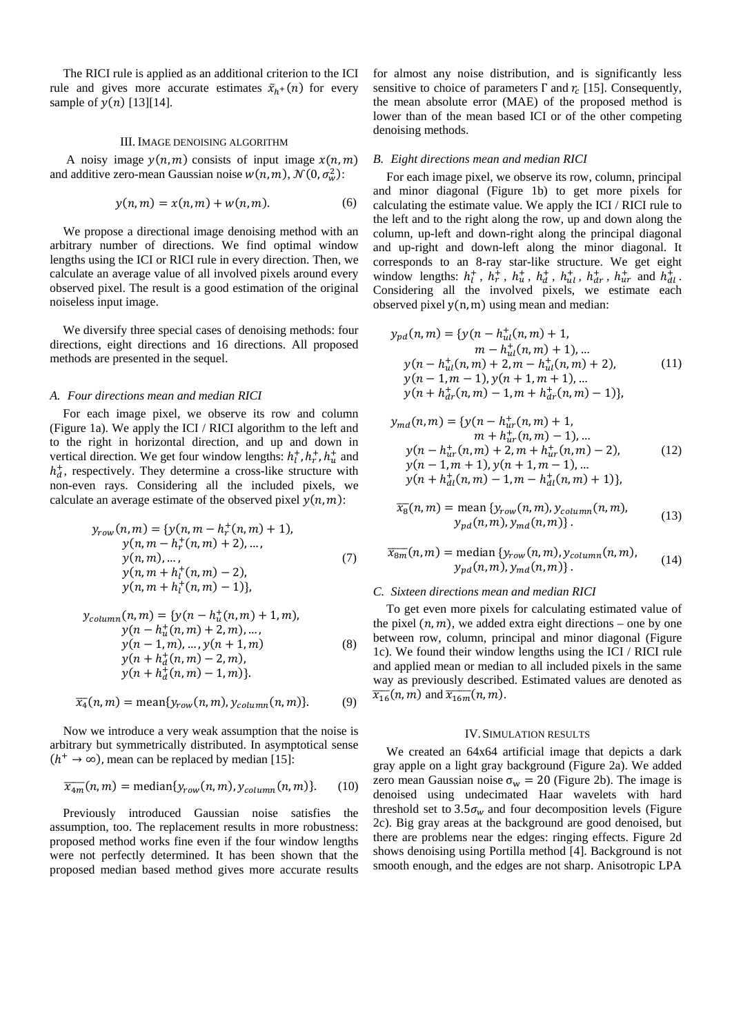The RICI rule is applied as an additional criterion to the ICI rule and gives more accurate estimates  $\bar{x}_{h+}(n)$  for every sample of  $y(n)$  [\[13\]\[14\].](#page-4-10)

### III. IMAGE DENOISING ALGORITHM

A noisy image  $y(n, m)$  consists of input image  $x(n, m)$ and additive zero-mean Gaussian noise  $w(n, m)$ ,  $\mathcal{N}(0, \sigma_w^2)$ :

$$
y(n,m) = x(n,m) + w(n,m). \tag{6}
$$

We propose a directional image denoising method with an arbitrary number of directions. We find optimal window lengths using the ICI or RICI rule in every direction. Then, we calculate an average value of all involved pixels around every observed pixel. The result is a good estimation of the original noiseless input image.

We diversify three special cases of denoising methods: four directions, eight directions and 16 directions. All proposed methods are presented in the sequel.

## *A. Four directions mean and median RICI*

For each image pixel, we observe its row and column (Figure 1a). We apply the ICI / RICI algorithm to the left and to the right in horizontal direction, and up and down in vertical direction. We get four window lengths:  $h_l^+, h_r^+, h_u^+$  and  $h_d^+$ , respectively. They determine a cross-like structure with non-even rays. Considering all the included pixels, we calculate an average estimate of the observed pixel  $y(n, m)$ :

$$
y_{row}(n,m) = \{y(n,m-h_r^+(n,m)+1),\ny(n,m-h_r^+(n,m)+2),...,\ny(n,m),...,\ny(n,m+h_l^+(n,m)-2),\ny(n,m+h_l^+(n,m)-1)\},
$$
\n(7)

$$
y_{column}(n, m) = \{y(n - h_u^+(n, m) + 1, m),y(n - h_u^+(n, m) + 2, m), ...,y(n - 1, m), ..., y(n + 1, m)y(n + h_d^+(n, m) - 2, m),y(n + h_d^+(n, m) - 1, m)\}.
$$
 (8)

$$
\overline{x_4}(n,m) = \text{mean}\{y_{row}(n,m), y_{column}(n,m)\}. \tag{9}
$$

Now we introduce a very weak assumption that the noise is arbitrary but symmetrically distributed. In asymptotical sense  $(h^+ \rightarrow \infty)$ , mean can be replaced by median [\[15\]:](#page-4-11)

$$
\overline{x_{4m}}(n,m) = \text{median}\{y_{row}(n,m), y_{column}(n,m)\}. \tag{10}
$$

Previously introduced Gaussian noise satisfies the assumption, too. The replacement results in more robustness: proposed method works fine even if the four window lengths were not perfectly determined. It has been shown that the proposed median based method gives more accurate results for almost any noise distribution, and is significantly less sensitive to choice of parameters  $\Gamma$  and  $r_c$  [\[15\].](#page-4-11) Consequently, the mean absolute error (MAE) of the proposed method is lower than of the mean based ICI or of the other competing denoising methods.

## *B. Eight directions mean and median RICI*

For each image pixel, we observe its row, column, principal and minor diagonal (Figure 1b) to get more pixels for calculating the estimate value. We apply the ICI / RICI rule to the left and to the right along the row, up and down along the column, up-left and down-right along the principal diagonal and up-right and down-left along the minor diagonal. It corresponds to an 8-ray star-like structure. We get eight window lengths:  $h_l^+$ ,  $h_r^+$ ,  $h_u^+$ ,  $h_d^+$ ,  $h_{ul}^+$ ,  $h_{dr}^+$ ,  $h_{ur}^+$  and  $h_{dl}^+$ . Considering all the involved pixels, we estimate each observed pixel  $y(n, m)$  using mean and median:

$$
y_{pd}(n,m) = \{y(n - h_{ul}^+(n,m) + 1, m - h_{ul}^+(n,m) + 1), ... y(n - h_{ul}^+(n,m) + 2, m - h_{ul}^+(n,m) + 2), y(n - 1, m - 1), y(n + 1, m + 1), ... y(n + h_{dr}^+(n,m) - 1, m + h_{dr}^+(n,m) - 1) \},
$$
 (11)

$$
y_{md}(n, m) = \{y(n - h_{ur}^+(n, m) + 1, m + h_{ur}^+(n, m) - 1), ... y(n - h_{ur}^+(n, m) + 2, m + h_{ur}^+(n, m) - 2), y(n - 1, m + 1), y(n + 1, m - 1), ... y(n + h_{dl}^+(n, m) - 1, m - h_{dl}^+(n, m) + 1) \},
$$
 (12)

$$
\overline{x_8}(n,m) = \text{mean } \{y_{row}(n,m), y_{column}(n,m),
$$
  
\n
$$
y_{pd}(n,m), y_{md}(n,m)\}.
$$
\n(13)

$$
\overline{x_{8m}}(n,m) = \text{median}\{y_{row}(n,m), y_{column}(n,m),
$$
  

$$
y_{pd}(n,m), y_{md}(n,m)\}.
$$
 (14)

# *C. Sixteen directions mean and median RICI*

To get even more pixels for calculating estimated value of the pixel  $(n, m)$ , we added extra eight directions – one by one between row, column, principal and minor diagonal [\(Figure](#page-2-0)  [1c](#page-2-0)). We found their window lengths using the ICI / RICI rule and applied mean or median to all included pixels in the same way as previously described. Estimated values are denoted as  $\overline{x_{16}}(n,m)$  and  $\overline{x_{16m}}(n,m)$ .

## IV.SIMULATION RESULTS

We created an 64x64 artificial image that depicts a dark gray apple on a light gray background [\(Figure 2a](#page-3-0)). We added zero mean Gaussian noise  $\sigma_w = 20$  [\(Figure 2b](#page-3-0)). The image is denoised using undecimated Haar wavelets with hard threshold set to 3.5 $\sigma_w$  and four decomposition levels (Figure [2c](#page-3-0)). Big gray areas at the background are good denoised, but there are problems near the edges: ringing effects. [Figure 2d](#page-3-0) shows denoising using Portilla method [\[4\].](#page-4-3) Background is not smooth enough, and the edges are not sharp. Anisotropic LPA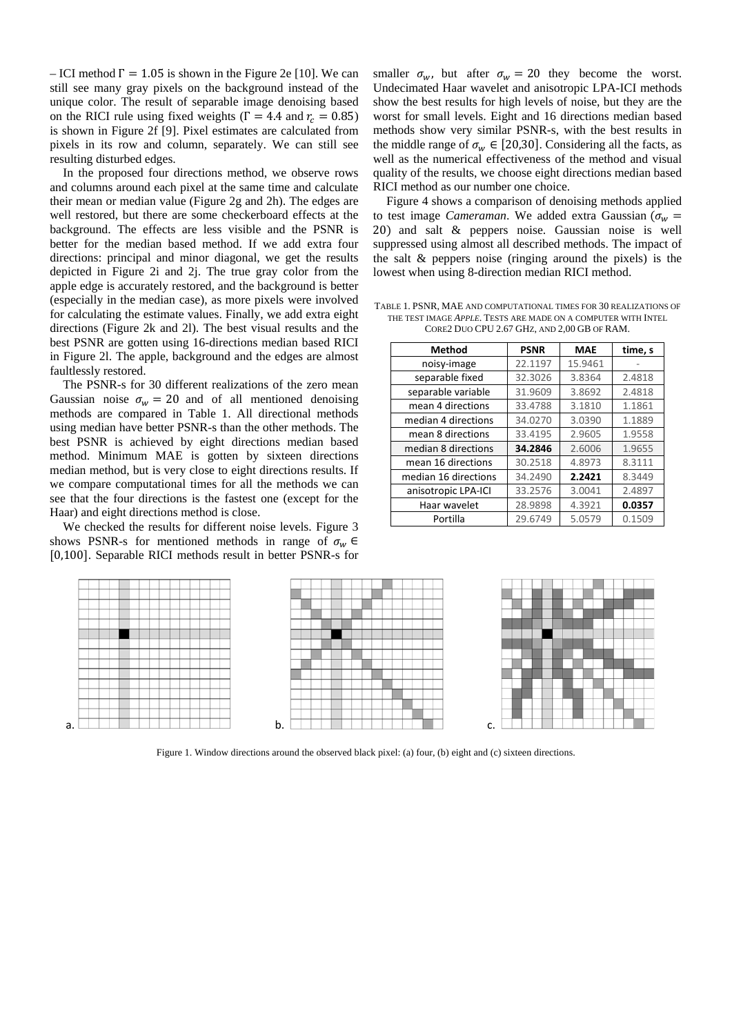– ICI method  $\Gamma = 1.05$  is shown in the [Figure 2e](#page-3-0) [\[10\].](#page-4-12) We can still see many gray pixels on the background instead of the unique color. The result of separable image denoising based on the RICI rule using fixed weights ( $\Gamma = 4.4$  and  $r_c = 0.85$ ) is shown in [Figure 2f](#page-3-0) [\[9\].](#page-4-7) Pixel estimates are calculated from pixels in its row and column, separately. We can still see resulting disturbed edges.

In the proposed four directions method, we observe rows and columns around each pixel at the same time and calculate their mean or median value [\(Figure 2g](#page-3-0) and 2h). The edges are well restored, but there are some checkerboard effects at the background. The effects are less visible and the PSNR is better for the median based method. If we add extra four directions: principal and minor diagonal, we get the results depicted in [Figure 2i](#page-3-0) and 2j. The true gray color from the apple edge is accurately restored, and the background is better (especially in the median case), as more pixels were involved for calculating the estimate values. Finally, we add extra eight directions [\(Figure 2k](#page-3-0) and 2l). The best visual results and the best PSNR are gotten using 16-directions median based RICI in [Figure 2l](#page-3-0). The apple, background and the edges are almost faultlessly restored.

The PSNR-s for 30 different realizations of the zero mean Gaussian noise  $\sigma_w = 20$  and of all mentioned denoising methods are compared in Table 1. All directional methods using median have better PSNR-s than the other methods. The best PSNR is achieved by eight directions median based method. Minimum MAE is gotten by sixteen directions median method, but is very close to eight directions results. If we compare computational times for all the methods we can see that the four directions is the fastest one (except for the Haar) and eight directions method is close.

We checked the results for different noise levels. Figure 3 shows PSNR-s for mentioned methods in range of  $\sigma_w \in$ [0,100]. Separable RICI methods result in better PSNR-s for smaller  $\sigma_w$ , but after  $\sigma_w = 20$  they become the worst. Undecimated Haar wavelet and anisotropic LPA-ICI methods show the best results for high levels of noise, but they are the worst for small levels. Eight and 16 directions median based methods show very similar PSNR-s, with the best results in the middle range of  $\sigma_w \in [20, 30]$ . Considering all the facts, as well as the numerical effectiveness of the method and visual quality of the results, we choose eight directions median based RICI method as our number one choice.

Figure 4 shows a comparison of denoising methods applied to test image *Cameraman*. We added extra Gaussian ( $\sigma_w$  = 20) and salt & peppers noise. Gaussian noise is well suppressed using almost all described methods. The impact of the salt & peppers noise (ringing around the pixels) is the lowest when using 8-direction median RICI method.

TABLE 1. PSNR, MAE AND COMPUTATIONAL TIMES FOR 30 REALIZATIONS OF THE TEST IMAGE *APPLE*. TESTS ARE MADE ON A COMPUTER WITH INTEL CORE2 DUO CPU 2.67 GHZ, AND 2,00 GB OF RAM.

| <b>Method</b>        | <b>PSNR</b> | <b>MAE</b> | time, s |
|----------------------|-------------|------------|---------|
| noisy-image          | 22.1197     | 15.9461    |         |
| separable fixed      | 32.3026     | 3.8364     | 2.4818  |
| separable variable   | 31.9609     | 3.8692     | 2.4818  |
| mean 4 directions    | 33.4788     | 3.1810     | 1.1861  |
| median 4 directions  | 34.0270     | 3.0390     | 1.1889  |
| mean 8 directions    | 33.4195     | 2.9605     | 1.9558  |
| median 8 directions  | 34.2846     | 2.6006     | 1.9655  |
| mean 16 directions   | 30.2518     | 4.8973     | 8.3111  |
| median 16 directions | 34.2490     | 2.2421     | 8.3449  |
| anisotropic LPA-ICI  | 33.2576     | 3.0041     | 2.4897  |
| Haar wavelet         | 28.9898     | 4.3921     | 0.0357  |
| Portilla             | 29.6749     | 5.0579     | 0.1509  |



<span id="page-2-0"></span>Figure 1. Window directions around the observed black pixel: (a) four, (b) eight and (c) sixteen directions.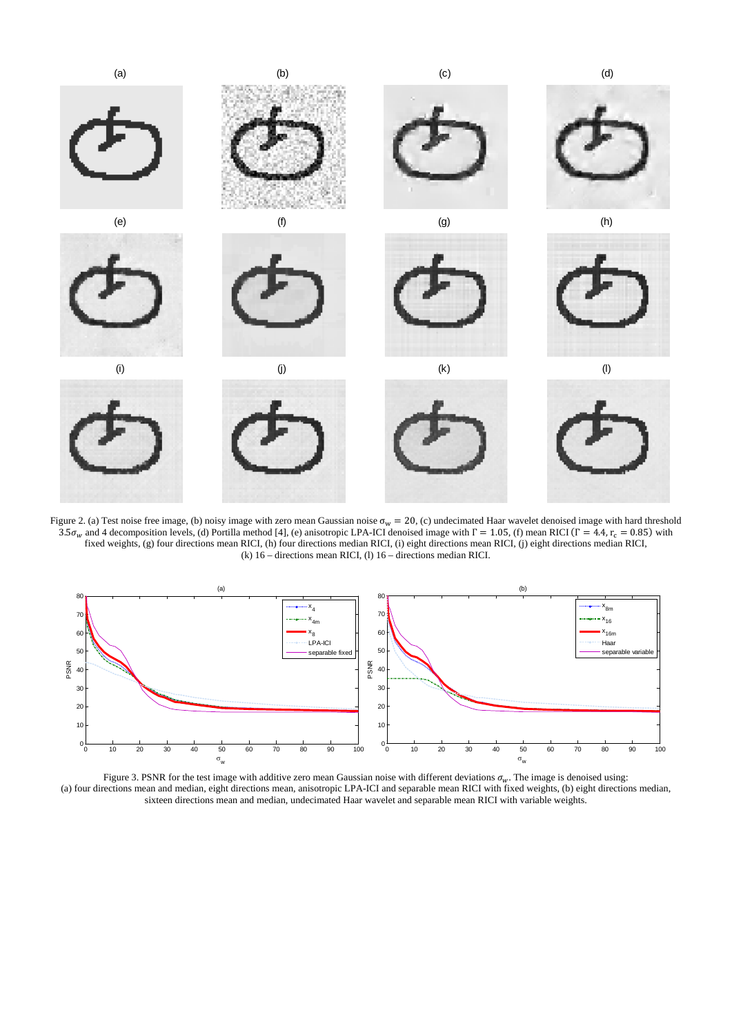

<span id="page-3-0"></span>Figure 2. (a) Test noise free image, (b) noisy image with zero mean Gaussian noise  $\sigma_w = 20$ , (c) undecimated Haar wavelet denoised image with hard threshold 3.5 $\sigma_w$  and 4 decomposition levels, (d) Portilla metho[d \[4\],](#page-4-3) (e) anisotropic LPA-ICI denoised image with  $\Gamma = 1.05$ , (f) mean RICI ( $\Gamma = 4.4$ ,  $r_c = 0.85$ ) with fixed weights, (g) four directions mean RICI, (h) four directions median RICI, (i) eight directions mean RICI, (j) eight directions median RICI, (k) 16 – directions mean RICI, (l) 16 – directions median RICI.



Figure 3. PSNR for the test image with additive zero mean Gaussian noise with different deviations  $\sigma_w$ . The image is denoised using: (a) four directions mean and median, eight directions mean, anisotropic LPA-ICI and separable mean RICI with fixed weights, (b) eight directions median, sixteen directions mean and median, undecimated Haar wavelet and separable mean RICI with variable weights.